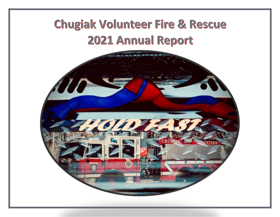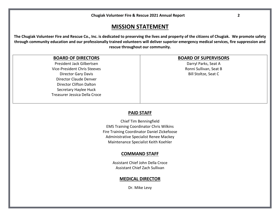| <b>Chugiak Volunteer Fire &amp; Rescue 2021 Annual Report</b> |  |
|---------------------------------------------------------------|--|
|---------------------------------------------------------------|--|

### **MISSION STATEMENT**

**The Chugiak Volunteer Fire and Rescue Co., Inc. is dedicated to preserving the lives and property of the citizens of Chugiak. We promote safety through community education and our professionally trained volunteers will deliver superior emergency medical services, fire suppression and rescue throughout our community.**

### **BOARD OF DIRECTORS**

President Jack Gilbertsen Vice-President Chris Steeves Director Gary Davis Director Claude Denver Director Clifton Dalton Secretary Haylee Huck Treasurer Jessica Della Croce

### **BOARD OF SUPERVISORS**

Darryl Parks, Seat A Ronni Sullivan, Seat B Bill Stoltze, Seat C

#### **PAID STAFF**

Chief Tim Benningfield EMS Training Coordinator Chris Wilkins Fire Training Coordinator Daniel Zickefoose Administrative Specialist Renee Mackey Maintenance Specialist Keith Koehler

#### **COMMAND STAFF**

Assistant Chief John Della Croce Assistant Chief Zach Sullivan

#### **MEDICAL DIRECTOR**

Dr. Mike Levy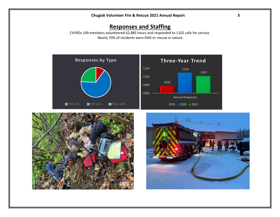# **Responses and Staffing**

CVFRDs 109 members volunteered 62,885 hours and responded to 1102 calls for service. Nearly 70% of incidents were EMS or rescue in nature.





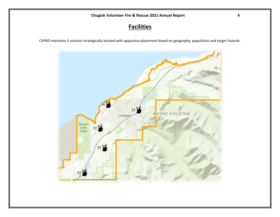# **Facilities**

CVFRD maintains 5 stations strategically located with apparatus placement based on geography, population and target hazards.

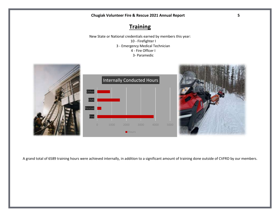# **Training**

New State or National credentials earned by members this year: 10 - Firefighter I 3 - Emergency Medical Technician 4 - Fire Officer I 3- Paramedic



A grand total of 6589 training hours were achieved internally, in addition to a significant amount of training done outside of CVFRD by our members.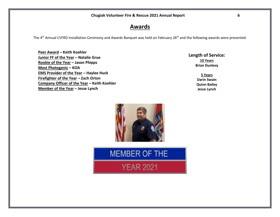### **Awards**

The 4<sup>th</sup> Annual CVFRD Installation Ceremony and Awards Banquet was held on February 26<sup>th</sup> and the following awards were presented:

**Peer Award – Keith Koehler Junior FF of the Year – Natalie Grue Rookie of the Year – Jason Phipps Most Photogenic – KOA EMS Provider of the Year – Haylee Huck Firefighter of the Year – Zach Orton Company Officer of the Year – Keith Koehler Member of the Year – Jesse Lynch**

**Length of Service: 10 Years Brian Dunlevy**

> **5 Years Darin Swain Quinn Bailey Jesse Lynch**



**MEMBER OF THE** 

**YEAR 2021**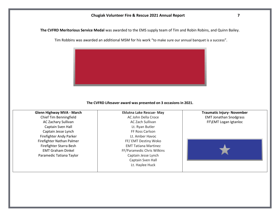**The CVFRD Meritorious Service Medal** was awarded to the EMS supply team of Tim and Robin Robins, and Quinn Bailey.

Tim Robbins was awarded an additional MSM for his work "to make sure our annual banquet is a success".



#### **The CVFRD Lifesaver award was presented on 3 occasions in 2021.**

| <b>Glenn Highway MVA - March</b> | <b>Eklutna Lake Rescue- May</b> | <b>Traumatic Injury- November</b> |
|----------------------------------|---------------------------------|-----------------------------------|
| Chief Tim Benningfield           | AC John Della Croce             | <b>EMT Jonathan Snodgrass</b>     |
| AC Zachary Sullivan              | AC Zach Sullivan                | FF\EMT Logan Igtanloc             |
| Captain Sven Hall                | Lt. Ryan Butler                 |                                   |
| Captain Jesse Lynch              | FF Ross Carlson                 |                                   |
| Firefighter Andy Parker          | Lt. Amber Havoc                 |                                   |
| Firefighter Nathan Palmer        | FF/ EMT Destiny Woko            |                                   |
| Firefighter Starra Besh          | <b>EMT Tatiana Martinez</b>     |                                   |
| <b>EMT Graham Dinkel</b>         | FF/Paramedic Chris Wilkins      |                                   |
| Paramedic Tatiana Taylor         | Captain Jesse Lynch             |                                   |
|                                  | Captain Sven Hall               |                                   |
|                                  | Lt. Haylee Huck                 |                                   |
|                                  |                                 |                                   |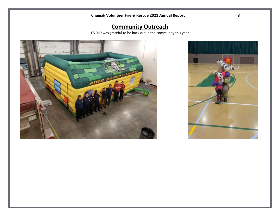# **Community Outreach**

CVFRD was grateful to be back out in the community this year



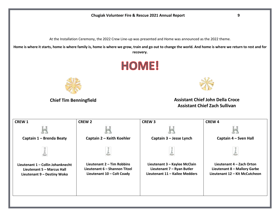